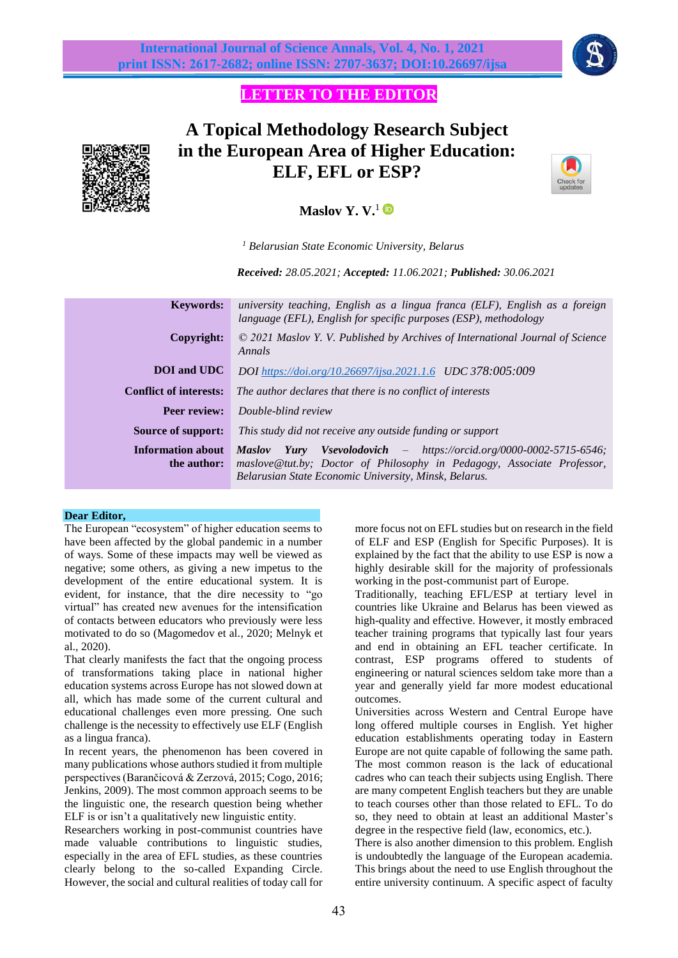

## **LETTER TO THE EDITOR**



# **A Topical Methodology Research Subject in the European Area of Higher Education: ELF, EFL or ESP?**



## **Maslov Y. V.**<sup>1</sup>

*<sup>1</sup> Belarusian State Economic University, Belarus*

*Received: 28.05.2021; Accepted: 11.06.2021; Published: 30.06.2021*

| <b>Keywords:</b>                        | university teaching, English as a lingua franca (ELF), English as a foreign<br>language (EFL), English for specific purposes (ESP), methodology                                                                          |
|-----------------------------------------|--------------------------------------------------------------------------------------------------------------------------------------------------------------------------------------------------------------------------|
| Copyright:                              | $\odot$ 2021 Maslov Y. V. Published by Archives of International Journal of Science<br>Annals                                                                                                                            |
| <b>DOI</b> and <b>UDC</b>               | DOI https://doi.org/10.26697/ijsa.2021.1.6 UDC 378:005:009                                                                                                                                                               |
| <b>Conflict of interests:</b>           | The author declares that there is no conflict of interests                                                                                                                                                               |
| Peer review:                            | Double-blind review                                                                                                                                                                                                      |
| Source of support:                      | This study did not receive any outside funding or support                                                                                                                                                                |
| <b>Information about</b><br>the author: | <b>Yury</b> Vsevolodovich $-$ https://orcid.org/0000-0002-5715-6546;<br><b>Maslov</b><br>maslove@tut.by; Doctor of Philosophy in Pedagogy, Associate Professor,<br>Belarusian State Economic University, Minsk, Belarus. |

### **Dear Editor,**

The European "ecosystem" of higher education seems to have been affected by the global pandemic in a number of ways. Some of these impacts may well be viewed as negative; some others, as giving a new impetus to the development of the entire educational system. It is evident, for instance, that the dire necessity to "go virtual" has created new avenues for the intensification of contacts between educators who previously were less motivated to do so (Magomedov et al., 2020; Melnyk et al., 2020).

That clearly manifests the fact that the ongoing process of transformations taking place in national higher education systems across Europe has not slowed down at all, which has made some of the current cultural and educational challenges even more pressing. One such challenge is the necessity to effectively use ELF (English as a lingua franca).

In recent years, the phenomenon has been covered in many publications whose authors studied it from multiple perspectives (Barančicová & Zerzová, 2015; Cogo, 2016; Jenkins, 2009). The most common approach seems to be the linguistic one, the research question being whether ELF is or isn't a qualitatively new linguistic entity.

Researchers working in post-communist countries have made valuable contributions to linguistic studies, especially in the area of EFL studies, as these countries clearly belong to the so-called Expanding Circle. However, the social and cultural realities of today call for more focus not on EFL studies but on research in the field of ELF and ESP (English for Specific Purposes). It is explained by the fact that the ability to use ESP is now a highly desirable skill for the majority of professionals working in the post-communist part of Europe.

Traditionally, teaching EFL/ESP at tertiary level in countries like Ukraine and Belarus has been viewed as high-quality and effective. However, it mostly embraced teacher training programs that typically last four years and end in obtaining an EFL teacher certificate. In contrast, ESP programs offered to students of engineering or natural sciences seldom take more than a year and generally yield far more modest educational outcomes.

Universities across Western and Central Europe have long offered multiple courses in English. Yet higher education establishments operating today in Eastern Europe are not quite capable of following the same path. The most common reason is the lack of educational cadres who can teach their subjects using English. There are many competent English teachers but they are unable to teach courses other than those related to EFL. To do so, they need to obtain at least an additional Master's degree in the respective field (law, economics, etc.).

There is also another dimension to this problem. English is undoubtedly the language of the European academia. This brings about the need to use English throughout the entire university continuum. A specific aspect of faculty